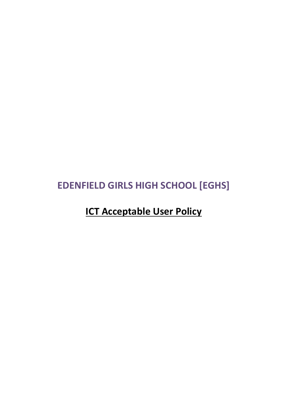# **EDENFIELD GIRLS HIGH SCHOOL [EGHS]**

# **ICT Acceptable User Policy**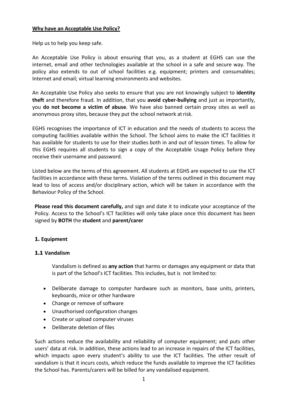#### **Why have an Acceptable Use Policy?**

Help us to help you keep safe.

An Acceptable Use Policy is about ensuring that you, as a student at EGHS can use the internet, email and other technologies available at the school in a safe and secure way. The policy also extends to out of school facilities e.g. equipment; printers and consumables; Internet and email; virtual learning environments and websites.

An Acceptable Use Policy also seeks to ensure that you are not knowingly subject to **identity theft** and therefore fraud. In addition, that you **avoid cyber-bullying** and just as importantly, you **do not become a victim of abuse**. We have also banned certain proxy sites as well as anonymous proxy sites, because they put the school network at risk.

EGHS recognises the importance of ICT in education and the needs of students to access the computing facilities available within the School. The School aims to make the ICT facilities it has available for students to use for their studies both in and out of lesson times. To allow for this EGHS requires all students to sign a copy of the Acceptable Usage Policy before they receive their username and password.

Listed below are the terms of this agreement. All students at EGHS are expected to use the ICT facilities in accordance with these terms. Violation of the terms outlined in this document may lead to loss of access and/or disciplinary action, which will be taken in accordance with the Behaviour Policy of the School.

**Please read this document carefully,** and sign and date it to indicate your acceptance of the Policy. Access to the School's ICT facilities will only take place once this document has been signed by **BOTH** the **student** and **parent/carer**

## **1. Equipment**

#### **1.1 Vandalism**

Vandalism is defined as **any action** that harms or damages any equipment or data that is part of the School's ICT facilities. This includes, but is not limited to:

- Deliberate damage to computer hardware such as monitors, base units, printers, keyboards, mice or other hardware
- Change or remove of software
- Unauthorised configuration changes
- Create or upload computer viruses
- Deliberate deletion of files

Such actions reduce the availability and reliability of computer equipment; and puts other users' data at risk. In addition, these actions lead to an increase in repairs of the ICT facilities, which impacts upon every student's ability to use the ICT facilities. The other result of vandalism is that it incurs costs, which reduce the funds available to improve the ICT facilities the School has. Parents/carers will be billed for any vandalised equipment.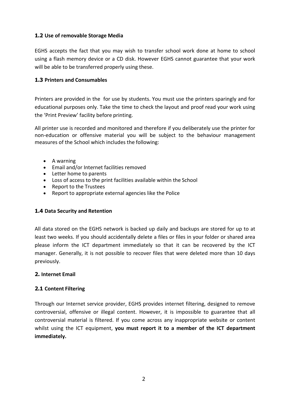# **1.2 Use of removable Storage Media**

EGHS accepts the fact that you may wish to transfer school work done at home to school using a flash memory device or a CD disk. However EGHS cannot guarantee that your work will be able to be transferred properly using these.

## **1.3 Printers and Consumables**

Printers are provided in the for use by students. You must use the printers sparingly and for educational purposes only. Take the time to check the layout and proof read your work using the 'Print Preview' facility before printing.

All printer use is recorded and monitored and therefore if you deliberately use the printer for non-education or offensive material you will be subject to the behaviour management measures of the School which includes the following:

- A warning
- Email and/or Internet facilities removed
- Letter home to parents
- Loss of access to the print facilities available within the School
- Report to the Trustees
- Report to appropriate external agencies like the Police

# **1.4 Data Security and Retention**

All data stored on the EGHS network is backed up daily and backups are stored for up to at least two weeks. If you should accidentally delete a files or files in your folder or shared area please inform the ICT department immediately so that it can be recovered by the ICT manager. Generally, it is not possible to recover files that were deleted more than 10 days previously.

## **2. Internet Email**

# **2.1 Content Filtering**

Through our Internet service provider, EGHS provides internet filtering, designed to remove controversial, offensive or illegal content. However, it is impossible to guarantee that all controversial material is filtered. If you come across any inappropriate website or content whilst using the ICT equipment, **you must report it to a member of the ICT department immediately.**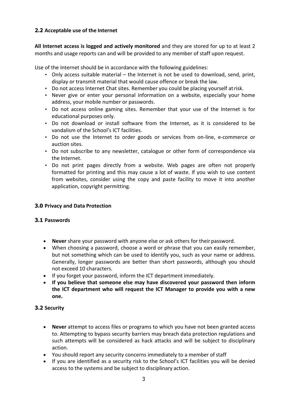# **2.2 Acceptable use of the Internet**

**All Internet access is logged and actively monitored** and they are stored for up to at least 2 months and usage reports can and will be provided to any member of staff upon request.

Use of the Internet should be in accordance with the following guidelines:

- Only access suitable material the Internet is not be used to download, send, print, display or transmit material that would cause offence or break the law.
- Do not access Internet Chat sites. Remember you could be placing yourself atrisk.
- Never give or enter your personal information on a website, especially your home address, your mobile number or passwords.
- Do not access online gaming sites. Remember that your use of the Internet is for educational purposes only.
- Do not download or install software from the Internet, as it is considered to be vandalism of the School's ICT facilities.
- Do not use the Internet to order goods or services from on-line, e-commerce or auction sites.
- Do not subscribe to any newsletter, catalogue or other form of correspondence via the Internet.
- Do not print pages directly from a website. Web pages are often not properly formatted for printing and this may cause a lot of waste. If you wish to use content from websites, consider using the copy and paste facility to move it into another application, copyright permitting.

## **3.0 Privacy and Data Protection**

## **3.1 Passwords**

- **Never** share your password with anyone else or ask others for their password.
- When choosing a password, choose a word or phrase that you can easily remember, but not something which can be used to identify you, such as your name or address. Generally, longer passwords are better than short passwords, although you should not exceed 10 characters.
- If you forget your password, inform the ICT department immediately.
- **If you believe that someone else may have discovered your password then inform the ICT department who will request the ICT Manager to provide you with a new one.**

## **3.2 Security**

- **Never** attempt to access files or programs to which you have not been granted access to. Attempting to bypass security barriers may breach data protection regulations and such attempts will be considered as hack attacks and will be subject to disciplinary action.
- You should report any security concerns immediately to a member ofstaff
- If you are identified as a security risk to the School's ICT facilities you will be denied access to the systems and be subject to disciplinary action.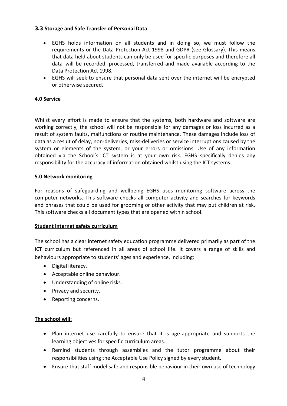#### **3.3 Storage and Safe Transfer of Personal Data**

- EGHS holds information on all students and in doing so, we must follow the requirements or the Data Protection Act 1998 and GDPR (see Glossary). This means that data held about students can only be used for specific purposes and therefore all data will be recorded, processed, transferred and made available according to the Data Protection Act 1998.
- EGHS will seek to ensure that personal data sent over the internet will be encrypted or otherwise secured.

#### **4.0 Service**

Whilst every effort is made to ensure that the systems, both hardware and software are working correctly, the school will not be responsible for any damages or loss incurred as a result of system faults, malfunctions or routine maintenance. These damages include loss of data as a result of delay, non-deliveries, miss-deliveries or service interruptions caused by the system or elements of the system, or your errors or omissions. Use of any information obtained via the School's ICT system is at your own risk. EGHS specifically denies any responsibility for the accuracy of information obtained whilst using the ICT systems.

#### **5.0 Network monitoring**

For reasons of safeguarding and wellbeing EGHS uses monitoring software across the computer networks. This software checks all computer activity and searches for keywords and phrases that could be used for grooming or other activity that may put children at risk. This software checks all document types that are opened within school.

#### **Student internet safety curriculum**

The school has a clear internet safety education programme delivered primarily as part of the ICT curriculum but referenced in all areas of school life. It covers a range of skills and behaviours appropriate to students' ages and experience, including:

- Digital literacy.
- Acceptable online behaviour.
- Understanding of online risks.
- Privacy and security.
- Reporting concerns.

## **The school will:**

- Plan internet use carefully to ensure that it is age-appropriate and supports the learning objectives for specific curriculum areas.
- Remind students through assemblies and the tutor programme about their responsibilities using the Acceptable Use Policy signed by every student.
- Ensure that staff model safe and responsible behaviour in their own use of technology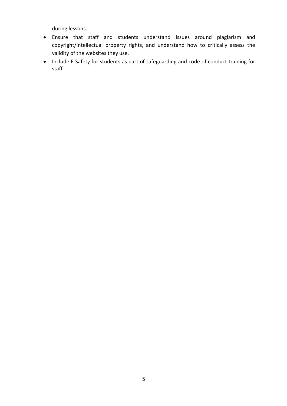during lessons.

- Ensure that staff and students understand issues around plagiarism and copyright/intellectual property rights, and understand how to critically assess the validity of the websites they use.
- Include E Safety for students as part of safeguarding and code of conduct training for staff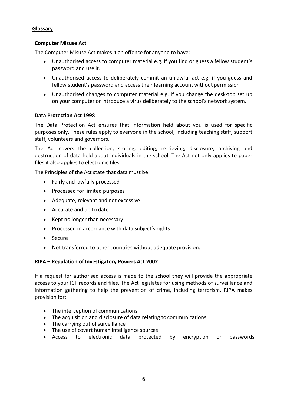### **Glossary**

#### **Computer Misuse Act**

The Computer Misuse Act makes it an offence for anyone to have:-

- Unauthorised access to computer material e.g. if you find or guess a fellow student's password and use it.
- Unauthorised access to deliberately commit an unlawful act e.g. if you guess and fellow student's password and access their learning account without permission
- Unauthorised changes to computer material e.g. if you change the desk-top set up on your computer or introduce a virus deliberately to the school's network system.

#### **Data Protection Act 1998**

The Data Protection Act ensures that information held about you is used for specific purposes only. These rules apply to everyone in the school, including teaching staff, support staff, volunteers and governors.

The Act covers the collection, storing, editing, retrieving, disclosure, archiving and destruction of data held about individuals in the school. The Act not only applies to paper files it also applies to electronic files.

The Principles of the Act state that data must be:

- Fairly and lawfully processed
- Processed for limited purposes
- Adequate, relevant and not excessive
- Accurate and up to date
- Kept no longer than necessary
- Processed in accordance with data subject's rights
- Secure
- Not transferred to other countries without adequate provision.

#### **RIPA – Regulation of Investigatory Powers Act 2002**

If a request for authorised access is made to the school they will provide the appropriate access to your ICT records and files. The Act legislates for using methods of surveillance and information gathering to help the prevention of crime, including terrorism. RIPA makes provision for:

- The interception of communications
- The acquisition and disclosure of data relating to communications
- The carrying out of surveillance
- The use of covert human intelligence sources
- Access to electronic data protected by encryption or passwords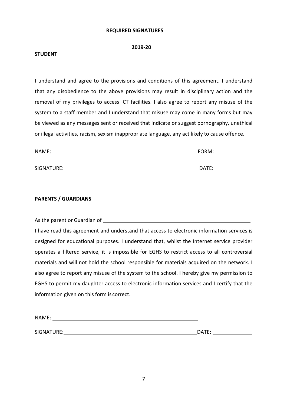#### **REQUIRED SIGNATURES**

#### **2019-20**

#### **STUDENT**

I understand and agree to the provisions and conditions of this agreement. I understand that any disobedience to the above provisions may result in disciplinary action and the removal of my privileges to access ICT facilities. I also agree to report any misuse of the system to a staff member and I understand that misuse may come in many forms but may be viewed as any messages sent or received that indicate or suggest pornography, unethical or illegal activities, racism, sexism inappropriate language, any act likely to cause offence.

| NAME:      | FORM: |  |
|------------|-------|--|
|            |       |  |
| SIGNATURE: | DATE: |  |

#### **PARENTS / GUARDIANS**

| As the parent or Guardian of                                                                   |
|------------------------------------------------------------------------------------------------|
| I have read this agreement and understand that access to electronic information services is    |
| designed for educational purposes. I understand that, whilst the Internet service provider     |
| operates a filtered service, it is impossible for EGHS to restrict access to all controversial |
| materials and will not hold the school responsible for materials acquired on the network. I    |
| also agree to report any misuse of the system to the school. I hereby give my permission to    |
| EGHS to permit my daughter access to electronic information services and I certify that the    |
| information given on this form is correct.                                                     |

| NAME:      |              |
|------------|--------------|
|            |              |
| SIGNATURE: | DATE:<br>. . |